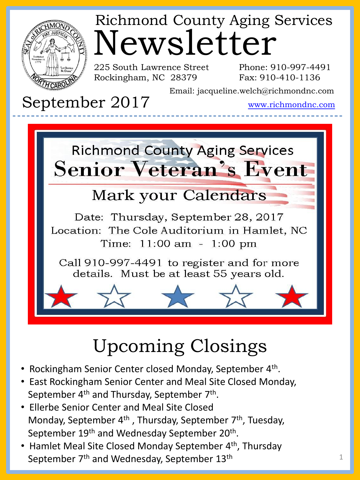

# Newsletter Richmond County Aging Services

225 South Lawrence Street Rockingham, NC 28379

Phone: 910-997-4491 Fax: 910-410-1136

Email: jacqueline.welch@richmondnc.com

September 2017

www.richmondnc.com



## Upcoming Closings

- Rockingham Senior Center closed Monday, September 4<sup>th</sup>.
- East Rockingham Senior Center and Meal Site Closed Monday, September 4<sup>th</sup> and Thursday, September 7<sup>th</sup>.
- Ellerbe Senior Center and Meal Site Closed Monday, September 4<sup>th</sup>, Thursday, September 7<sup>th</sup>, Tuesday, September 19<sup>th</sup> and Wednesday September 20<sup>th</sup>.
- Hamlet Meal Site Closed Monday September 4<sup>th</sup>, Thursday September 7<sup>th</sup> and Wednesday, September 13<sup>th</sup>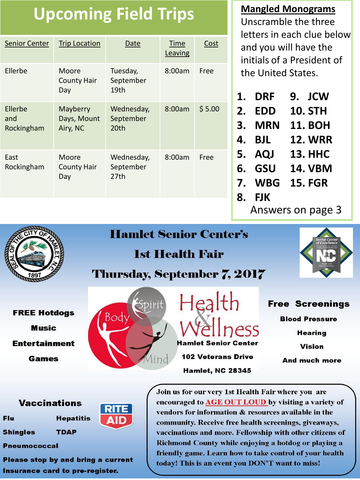## **Upcoming Field Trips**

| <b>Senior Center</b>         | <b>Trip Location</b>                | Date                            | Time<br>Leaving | Cost   |
|------------------------------|-------------------------------------|---------------------------------|-----------------|--------|
| Ellerbe                      | Moore<br><b>County Hair</b><br>Day  | Tuesday,<br>September<br>19th   | 8:00am          | Free   |
| Ellerbe<br>and<br>Rockingham | Mayberry<br>Days, Mount<br>Airy, NC | Wednesday,<br>September<br>20th | 8:00am          | \$5.00 |
| East<br>Rockingham           | Moore<br><b>County Hair</b><br>Day  | Wednesday,<br>September<br>27th | 8:00am          | Free   |

**Mangled Monograms** Unscramble the three letters in each clue below and you will have the initials of a President of the United States.

| 9. JCW |
|--------|
|        |

- **2. EDD 10. STH**
- **3. MRN 11. BOH**
- **4. BJL 12. WRR**
- **5. AQJ 13. HHC**
- **6. GSU 14. VBM**
- **7. WBG 15. FGR**
- **8. FJK** 
	- Answers on page 3



### **Hamlet Senior Center's**

## **1st Health Fair**



### Thursday, September 7, 2017

**FREE Hotdogs Music Entertainment** 

**Games** 



**Hamlet Senior Center 102 Veterans Drive** 

**Hamlet, NC 28345** 

**Free Screenings Blood Pressure Hearing Vision** 

**And much more** 

#### **Vaccinations**

Flu

**Shingles TDAP** 



Please stop by and bring a current Insurance card to pre-register.

**Hepatitis** 

Join us for our very 1st Health Fair where you are encouraged to AGE OUT LOUD by visiting a variety of vendors for information & resources available in the community. Receive free health screenings, giveaways, vaccinations and more. Fellowship with other citizens of Richmond County while enjoying a hotdog or playing a friendly game. Learn how to take control of your health today! This is an event you DON'T want to miss!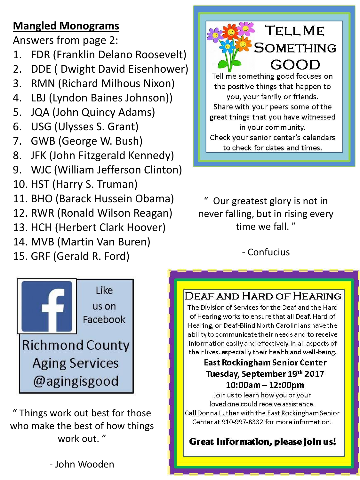## **Mangled Monograms**

Answers from page 2:

- 1. FDR (Franklin Delano Roosevelt)
- 2. DDE ( Dwight David Eisenhower)
- 3. RMN (Richard Milhous Nixon)
- 4. LBJ (Lyndon Baines Johnson))
- 5. JQA (John Quincy Adams)
- 6. USG (Ulysses S. Grant)
- 7. GWB (George W. Bush)
- 8. JFK (John Fitzgerald Kennedy)
- 9. WJC (William Jefferson Clinton)
- 10. HST (Harry S. Truman)
- 11. BHO (Barack Hussein Obama)
- 12. RWR (Ronald Wilson Reagan)
- 13. HCH (Herbert Clark Hoover)
- 14. MVB (Martin Van Buren)
- 15. GRF (Gerald R. Ford)



Our greatest glory is not in never falling, but in rising every time we fall. "

- Confucius



" Things work out best for those who make the best of how things work out. "

#### DEAF AND HARD OF HEARING

The Division of Services for the Deaf and the Hard of Hearing works to ensure that all Deaf, Hard of Hearing, or Deaf-Blind North Carolinians have the ability to communicate their needs and to receive information easily and effectively in all aspects of their lives, especially their health and well-being.

#### **East Rockingham Senior Center** Tuesday, September 19th 2017 10:00am - 12:00pm

Join us to learn how you or your loved one could receive assistance. Call Donna Luther with the East Rockingham Senior Center at 910-997-8332 for more information.

#### Great Information, please join us!

3

- John Wooden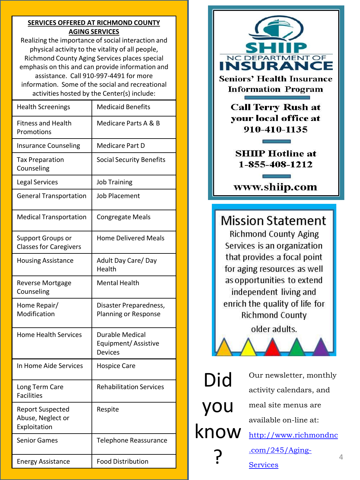#### **SERVICES OFFERED AT RICHMOND COUNTY AGING SERVICES**

Realizing the importance of social interaction and physical activity to the vitality of all people, Richmond County Aging Services places special emphasis on this and can provide information and assistance. Call 910-997-4491 for more information. Some of the social and recreational activities hosted by the Center(s) include:

| <b>Health Screenings</b>                                  | <b>Medicaid Benefits</b>                                        |  |             | <b>Call Terry Rush at</b>                                   |   |
|-----------------------------------------------------------|-----------------------------------------------------------------|--|-------------|-------------------------------------------------------------|---|
| <b>Fitness and Health</b><br>Promotions                   | Medicare Parts A & B                                            |  |             | your local office at<br>910-410-1135                        |   |
| <b>Insurance Counseling</b>                               | Medicare Part D                                                 |  |             |                                                             |   |
| <b>Tax Preparation</b><br>Counseling                      | <b>Social Security Benefits</b>                                 |  |             | <b>SHIIP Hotline at</b><br>1-855-408-1212                   |   |
| <b>Legal Services</b>                                     | <b>Job Training</b>                                             |  |             | www.shiip.com                                               |   |
| <b>General Transportation</b>                             | <b>Job Placement</b>                                            |  |             |                                                             |   |
| <b>Medical Transportation</b>                             | <b>Congregate Meals</b>                                         |  |             | <b>Mission Statement</b>                                    |   |
| <b>Support Groups or</b><br><b>Classes for Caregivers</b> | <b>Home Delivered Meals</b>                                     |  |             | <b>Richmond County Aging</b><br>Services is an organization |   |
| <b>Housing Assistance</b>                                 | Adult Day Care/Day<br>Health                                    |  |             | that provides a focal point<br>for aging resources as well  |   |
| Reverse Mortgage<br>Counseling                            | <b>Mental Health</b>                                            |  |             | as opportunities to extend<br>independent living and        |   |
| Home Repair/<br>Modification                              | Disaster Preparedness,<br>Planning or Response                  |  |             | enrich the quality of life for<br><b>Richmond County</b>    |   |
| <b>Home Health Services</b>                               | <b>Durable Medical</b><br>Equipment/Assistive<br><b>Devices</b> |  |             | older adults.                                               |   |
| In Home Aide Services                                     | <b>Hospice Care</b>                                             |  | Did         | Our newsletter, monthly                                     |   |
| Long Term Care<br><b>Facilities</b>                       | <b>Rehabilitation Services</b>                                  |  |             | activity calendars, and                                     |   |
| <b>Report Suspected</b><br>Abuse, Neglect or              | Respite                                                         |  | you<br>know | meal site menus are<br>available on-line at:                |   |
| Exploitation                                              |                                                                 |  |             | http://www.richmondnc                                       |   |
| <b>Senior Games</b>                                       | Telephone Reassurance                                           |  |             | $.com/245/Aging-$                                           |   |
| <b>Energy Assistance</b>                                  | <b>Food Distribution</b>                                        |  |             | Services                                                    | 4 |



#### www.shiip.com

### **Mission Statement**



**[Services](http://www.richmondnc.com/245/Aging-Services)**